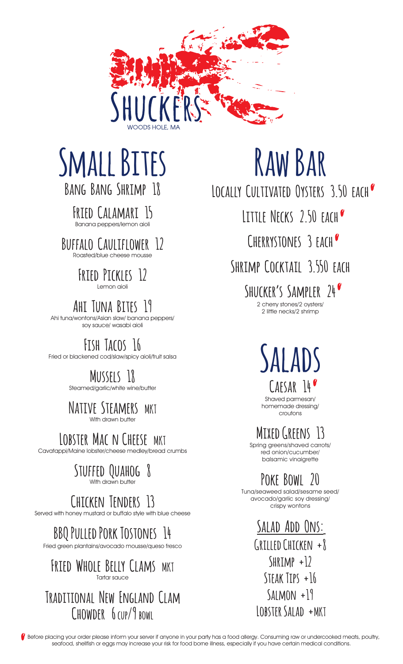

# **Small Bites Bang Bang Shrimp 18**

**Fried Calamari 15** Banana peppers/lemon aioli

**Buffalo Cauliflower 12** Roasted/blue cheese mousse

### **Fried Pickles 12** Lemon aioli

**Ahi Tuna Bites 19**

Ahi tuna/wontons/Asian slaw/ banana peppers/ soy sauce/ wasabi aioli

# **Fish Tacos 16**

Fried or blackened cod/slaw/spicy aioli/fruit salsa

# **Mussels 18**

Steamed/garlic/white wine/butter

#### **Native Steamers MKT** With drawn butter

LOBSTER MAC N CHEESE MKT

Cavatappi/Maine lobster/cheese medley/bread crumbs

#### **Stuffed Quahog 8** With drawn butter

# **Chicken Tenders 13**

Served with honey mustard or buffalo style with blue cheese

# **BBQ Pulled Pork Tostones 14**

Fried green plantains/avocado mousse/queso fresco

### **Fried Whole Belly Clams MKT** Tartar sauce

### **Traditional New England Clam Chowder 6 cup/9 bowl**

# **Raw Bar**

**Locally Cultivated Oysters 3.50 each**

**Little Necks 2.50 each**

**Cherrystones 3 each**

**Shrimp Cocktail 3.550 each**

**Shucker's Sampler 24** 2 cherry stones/2 oysters/ 2 little necks/2 shrimp

> **Salads Caesar 14**

Shaved parmesan/ homemade dressing/ croutons

**Mixed Greens 13**

Spring greens/shaved carrots/ red onion/cucumber/ balsamic vinaigrette

# **Poke Bowl 20**

Tuna/seaweed salad/sesame seed/ avocado/garlic soy dressing/ crispy wontons

> **Salad Add Ons: Grilled Chicken +8 Shrimp +12 Steak Tips +16 Salmon +19 Lobster Salad +MKT**